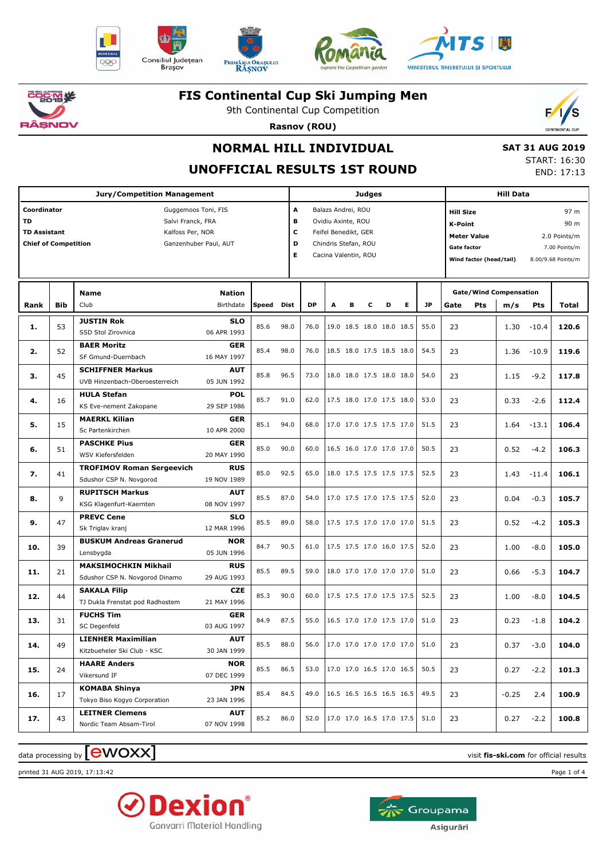











#### **FIS Continental Cup Ski Jumping Men**

9th Continental Cup Competition **Rasnov (ROU)**

 $\mathbf{r}$ 

# **NORMAL HILL INDIVIDUAL**

### **UNOFFICIAL RESULTS 1ST ROUND**

|  | <b>SAT 31 AUG 2019</b> |
|--|------------------------|
|  | START: 16:30           |
|  | END: 17:13             |

|                                                                                | <b>Jury/Competition Management</b> |                                                                                       |                            |           |                                                                                                                                           |           |   | <b>Judges</b> |   |                          |    |           |                                                                                                                                                                           |     |                                      | <b>Hill Data</b> |       |  |  |  |
|--------------------------------------------------------------------------------|------------------------------------|---------------------------------------------------------------------------------------|----------------------------|-----------|-------------------------------------------------------------------------------------------------------------------------------------------|-----------|---|---------------|---|--------------------------|----|-----------|---------------------------------------------------------------------------------------------------------------------------------------------------------------------------|-----|--------------------------------------|------------------|-------|--|--|--|
| Coordinator<br><b>TD</b><br><b>TD Assistant</b><br><b>Chief of Competition</b> |                                    | Guggemoos Toni, FIS<br>Salvi Franck, FRA<br>Kalfoss Per, NOR<br>Ganzenhuber Paul, AUT |                            |           | Balazs Andrei, ROU<br>A<br>в<br>Ovidiu Axinte, ROU<br>с<br>Feifel Benedikt, GER<br>D<br>Chindris Stefan, ROU<br>E<br>Cacina Valentin, ROU |           |   |               |   |                          |    |           | 97 m<br><b>Hill Size</b><br>90 m<br><b>K-Point</b><br>2.0 Points/m<br><b>Meter Value</b><br>7.00 Points/m<br>Gate factor<br>8.00/9.68 Points/m<br>Wind factor (head/tail) |     |                                      |                  |       |  |  |  |
| Rank                                                                           | <b>Bib</b>                         | <b>Name</b><br>Club                                                                   | <b>Nation</b><br>Birthdate | Speed     | Dist                                                                                                                                      | <b>DP</b> | A | в             | c | D                        | E. | <b>JP</b> | Gate                                                                                                                                                                      | Pts | <b>Gate/Wind Compensation</b><br>m/s | Pts              | Total |  |  |  |
|                                                                                |                                    |                                                                                       |                            |           |                                                                                                                                           |           |   |               |   |                          |    |           |                                                                                                                                                                           |     |                                      |                  |       |  |  |  |
| 1.                                                                             | 53                                 | <b>JUSTIN Rok</b>                                                                     | <b>SLO</b>                 | 85.6      | 98.0                                                                                                                                      | 76.0      |   |               |   | 19.0 18.5 18.0 18.0 18.5 |    | 55.0      | 23                                                                                                                                                                        |     | 1.30                                 | $-10.4$          | 120.6 |  |  |  |
|                                                                                |                                    | SSD Stol Zirovnica                                                                    | 06 APR 1993                |           |                                                                                                                                           |           |   |               |   |                          |    |           |                                                                                                                                                                           |     |                                      |                  |       |  |  |  |
| 2.                                                                             | 52                                 | <b>BAER Moritz</b>                                                                    | <b>GER</b>                 | 85.4      | 98.0                                                                                                                                      | 76.0      |   |               |   | 18.5 18.0 17.5 18.5 18.0 |    | 54.5      | 23                                                                                                                                                                        |     | 1.36                                 | $-10.9$          | 119.6 |  |  |  |
|                                                                                |                                    | SF Gmund-Duernbach                                                                    | 16 MAY 1997                |           |                                                                                                                                           |           |   |               |   |                          |    |           |                                                                                                                                                                           |     |                                      |                  |       |  |  |  |
| з.                                                                             | 45                                 | <b>SCHIFFNER Markus</b><br>UVB Hinzenbach-Oberoesterreich                             | <b>AUT</b><br>05 JUN 1992  | 85.8      | 96.5                                                                                                                                      | 73.0      |   |               |   | 18.0 18.0 17.5 18.0 18.0 |    | 54.0      | 23                                                                                                                                                                        |     | 1.15                                 | $-9.2$           | 117.8 |  |  |  |
|                                                                                |                                    | <b>HULA Stefan</b>                                                                    | <b>POL</b>                 |           |                                                                                                                                           |           |   |               |   |                          |    |           |                                                                                                                                                                           |     |                                      |                  |       |  |  |  |
| 4.                                                                             | 16                                 | KS Eve-nement Zakopane                                                                | 29 SEP 1986                | 85.7      | 91.0                                                                                                                                      | 62.0      |   |               |   | 17.5 18.0 17.0 17.5 18.0 |    | 53.0      | 23                                                                                                                                                                        |     | 0.33                                 | $-2.6$           | 112.4 |  |  |  |
|                                                                                |                                    | <b>MAERKL Kilian</b>                                                                  | <b>GER</b>                 |           |                                                                                                                                           |           |   |               |   |                          |    |           |                                                                                                                                                                           |     |                                      |                  |       |  |  |  |
| 5.                                                                             | 15                                 | Sc Partenkirchen                                                                      | 10 APR 2000                | 85.1      | 94.0                                                                                                                                      | 68.0      |   |               |   | 17.0 17.0 17.5 17.5 17.0 |    | 51.5      | 23                                                                                                                                                                        |     | 1.64                                 | $-13.1$          | 106.4 |  |  |  |
|                                                                                |                                    | <b>PASCHKE Pius</b>                                                                   | <b>GER</b>                 |           |                                                                                                                                           |           |   |               |   |                          |    |           |                                                                                                                                                                           |     |                                      |                  |       |  |  |  |
| 6.                                                                             | 51                                 | WSV Kiefersfelden                                                                     | 20 MAY 1990                | 85.0      | 90.0                                                                                                                                      | 60.0      |   |               |   | 16.5 16.0 17.0 17.0 17.0 |    | 50.5      | 23                                                                                                                                                                        |     | 0.52                                 | $-4.2$           | 106.3 |  |  |  |
| 7.                                                                             |                                    | <b>TROFIMOV Roman Sergeevich</b>                                                      | <b>RUS</b>                 | 85.0      | 92.5                                                                                                                                      | 65.0      |   |               |   | 18.0 17.5 17.5 17.5 17.5 |    | 52.5      | 23                                                                                                                                                                        |     |                                      |                  | 106.1 |  |  |  |
|                                                                                | 41                                 | Sdushor CSP N. Novgorod                                                               | 19 NOV 1989                |           |                                                                                                                                           |           |   |               |   |                          |    |           |                                                                                                                                                                           |     | 1.43                                 | $-11.4$          |       |  |  |  |
| 8.                                                                             | 9                                  | <b>RUPITSCH Markus</b>                                                                | <b>AUT</b>                 | 85.5      | 87.0                                                                                                                                      | 54.0      |   |               |   | 17.0 17.5 17.0 17.5 17.5 |    | 52.0      | 23                                                                                                                                                                        |     | 0.04                                 | $-0.3$           | 105.7 |  |  |  |
|                                                                                |                                    | KSG Klagenfurt-Kaernten                                                               | 08 NOV 1997                |           |                                                                                                                                           |           |   |               |   |                          |    |           |                                                                                                                                                                           |     |                                      |                  |       |  |  |  |
| 9.                                                                             | 47                                 | <b>PREVC Cene</b>                                                                     | <b>SLO</b>                 | 85.5      | 89.0                                                                                                                                      | 58.0      |   |               |   | 17.5 17.5 17.0 17.0 17.0 |    | 51.5      | 23                                                                                                                                                                        |     | 0.52                                 | $-4.2$           | 105.3 |  |  |  |
|                                                                                |                                    | Sk Triglav kranj                                                                      | 12 MAR 1996                |           |                                                                                                                                           |           |   |               |   |                          |    |           |                                                                                                                                                                           |     |                                      |                  |       |  |  |  |
| 10.                                                                            | 39                                 | <b>BUSKUM Andreas Granerud</b>                                                        | <b>NOR</b>                 | 84.7      | 90.5                                                                                                                                      | 61.0      |   |               |   | 17.5 17.5 17.0 16.0 17.5 |    | 52.0      | 23                                                                                                                                                                        |     | 1.00                                 | $-8.0$           | 105.0 |  |  |  |
|                                                                                |                                    | Lensbygda                                                                             | 05 JUN 1996                |           |                                                                                                                                           |           |   |               |   |                          |    |           |                                                                                                                                                                           |     |                                      |                  |       |  |  |  |
| 11.                                                                            | 21                                 | <b>MAKSIMOCHKIN Mikhail</b>                                                           | <b>RUS</b>                 | 85.5      | 89.5                                                                                                                                      | 59.0      |   |               |   | 18.0 17.0 17.0 17.0 17.0 |    | 51.0      | 23                                                                                                                                                                        |     | 0.66                                 | $-5.3$           | 104.7 |  |  |  |
|                                                                                |                                    | Sdushor CSP N. Novgorod Dinamo                                                        | 29 AUG 1993<br><b>CZE</b>  |           |                                                                                                                                           |           |   |               |   |                          |    |           |                                                                                                                                                                           |     |                                      |                  |       |  |  |  |
| 12.                                                                            | 44                                 | <b>SAKALA Filip</b><br>TJ Dukla Frenstat pod Radhostem                                | 21 MAY 1996                | 85.3      | 90.0                                                                                                                                      | 60.0      |   |               |   | 17.5 17.5 17.0 17.5 17.5 |    | 52.5      | 23                                                                                                                                                                        |     | 1.00                                 | $-8.0$           | 104.5 |  |  |  |
|                                                                                |                                    | <b>FUCHS Tim</b>                                                                      | <b>GER</b>                 |           |                                                                                                                                           |           |   |               |   |                          |    |           |                                                                                                                                                                           |     |                                      |                  |       |  |  |  |
| 13.                                                                            | 31                                 | SC Degenfeld                                                                          | 03 AUG 1997                | 84.9      | 87.5                                                                                                                                      | 55.0      |   |               |   | 16.5 17.0 17.0 17.5 17.0 |    | 51.0      | 23                                                                                                                                                                        |     | 0.23                                 | $-1.8$           | 104.2 |  |  |  |
|                                                                                |                                    | <b>LIENHER Maximilian</b>                                                             | <b>AUT</b>                 |           |                                                                                                                                           |           |   |               |   |                          |    |           |                                                                                                                                                                           |     |                                      |                  |       |  |  |  |
| 14.                                                                            | 49                                 | Kitzbueheler Ski Club - KSC                                                           | 30 JAN 1999                | 85.5 88.0 |                                                                                                                                           | 56.0      |   |               |   | 17.0 17.0 17.0 17.0 17.0 |    | 51.0      | 23                                                                                                                                                                        |     | 0.37                                 | $-3.0$           | 104.0 |  |  |  |
|                                                                                |                                    | <b>HAARE Anders</b>                                                                   | <b>NOR</b>                 |           |                                                                                                                                           |           |   |               |   |                          |    |           |                                                                                                                                                                           |     |                                      |                  |       |  |  |  |
| 15.                                                                            | 24                                 | Vikersund IF                                                                          | 07 DEC 1999                | 85.5      | 86.5                                                                                                                                      | 53.0      |   |               |   | 17.0 17.0 16.5 17.0 16.5 |    | 50.5      | 23                                                                                                                                                                        |     | 0.27                                 | $-2.2$           | 101.3 |  |  |  |
|                                                                                |                                    | <b>KOMABA Shinya</b>                                                                  | JPN                        |           |                                                                                                                                           |           |   |               |   |                          |    |           |                                                                                                                                                                           |     |                                      |                  |       |  |  |  |
| 16.                                                                            | 17                                 | Tokyo Biso Kogyo Corporation                                                          | 23 JAN 1996                | 85.4      | 84.5                                                                                                                                      | 49.0      |   |               |   | 16.5 16.5 16.5 16.5 16.5 |    | 49.5      | 23                                                                                                                                                                        |     | $-0.25$                              | 2.4              | 100.9 |  |  |  |
| 17.                                                                            | 43                                 | <b>LEITNER Clemens</b>                                                                | <b>AUT</b>                 | 85.2      | 86.0                                                                                                                                      | 52.0      |   |               |   | 17.0 17.0 16.5 17.0 17.5 |    | 51.0      | 23                                                                                                                                                                        |     | 0.27                                 | $-2.2$           | 100.8 |  |  |  |
|                                                                                |                                    | Nordic Team Absam-Tirol                                                               | 07 NOV 1998                |           |                                                                                                                                           |           |   |               |   |                          |    |           |                                                                                                                                                                           |     |                                      |                  |       |  |  |  |

 $\alpha$  data processing by  $\boxed{\text{ewOX}}$ 

printed 31 AUG 2019, 17:13:42 Page 1 of 4



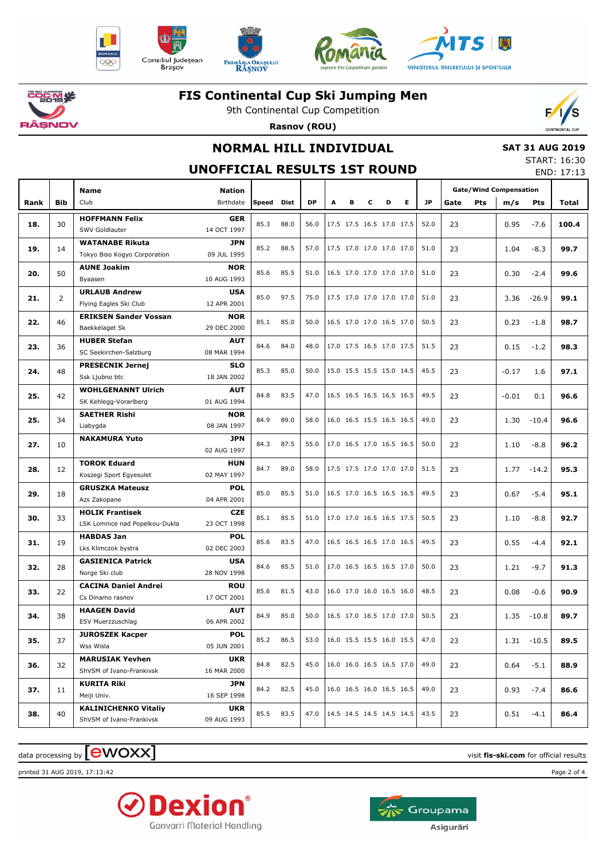









# **こうごく 茶** ìsNOV

#### **FIS Continental Cup Ski Jumping Men**

9th Continental Cup Competition



**Rasnov (ROU)**

# **NORMAL HILL INDIVIDUAL**

### **SAT 31 AUG 2019**

**UNOFFICIAL RESULTS 1ST ROUND**

| START: 16:30 |            |
|--------------|------------|
|              | END: 17:13 |

|      |                | <b>Name</b>                                              | <b>Nation</b>             |              |           |                                 |   |                          |   |   |    |           |      |            | <b>Gate/Wind Compensation</b><br>m/s<br><b>Pts</b> |               |       |
|------|----------------|----------------------------------------------------------|---------------------------|--------------|-----------|---------------------------------|---|--------------------------|---|---|----|-----------|------|------------|----------------------------------------------------|---------------|-------|
| Rank | <b>Bib</b>     | Club                                                     | Birthdate                 | <b>Speed</b> | Dist      | <b>DP</b>                       | A | в                        | c | D | E. | <b>JP</b> | Gate | <b>Pts</b> |                                                    |               | Total |
| 18.  | 30             | <b>HOFFMANN Felix</b><br>SWV Goldlauter                  | <b>GER</b><br>14 OCT 1997 | 85.3         | 88.0      | 56.0                            |   | 17.5 17.5 16.5 17.0 17.5 |   |   |    | 52.0      | 23   |            | 0.95                                               | $-7.6$        | 100.4 |
| 19.  | 14             | <b>WATANABE Rikuta</b><br>Tokyo Biso Kogyo Corporation   | <b>JPN</b><br>09 JUL 1995 | 85.2         | 88.5      | 57.0                            |   | 17.5 17.0 17.0 17.0 17.0 |   |   |    | 51.0      | 23   |            | 1.04                                               | $-8.3$        | 99.7  |
| 20.  | 50             | <b>AUNE Joakim</b><br>Byaasen                            | <b>NOR</b><br>10 AUG 1993 | 85.6         | 85.5      | 51.0                            |   | 16.5 17.0 17.0 17.0 17.0 |   |   |    | 51.0      | 23   |            | 0.30                                               | $-2.4$        | 99.6  |
| 21.  | $\overline{2}$ | <b>URLAUB Andrew</b><br>Flying Eagles Ski Club           | <b>USA</b><br>12 APR 2001 | 85.0         | 97.5      | 75.0                            |   | 17.5 17.0 17.0 17.0 17.0 |   |   |    | 51.0      | 23   |            | 3.36                                               | $-26.9$       | 99.1  |
| 22.  | 46             | <b>ERIKSEN Sander Vossan</b><br>Baekkelaget Sk           | <b>NOR</b><br>29 DEC 2000 | 85.1         | 85.0      | 50.0                            |   | 16.5 17.0 17.0 16.5 17.0 |   |   |    | 50.5      | 23   |            | 0.23                                               | $-1.8$        | 98.7  |
| 23.  | 36             | <b>HUBER Stefan</b><br>SC Seekirchen-Salzburg            | <b>AUT</b><br>08 MAR 1994 | 84.6         | 84.0      | 48.0                            |   | 17.0 17.5 16.5 17.0 17.5 |   |   |    | 51.5      | 23   |            | 0.15                                               | $-1.2$        | 98.3  |
| 24.  | 48             | <b>PRESECNIK Jernej</b><br>Ssk Ljubno btc                | <b>SLO</b><br>18 JAN 2002 | 85.3         | 85.0      | 50.0                            |   | 15.0 15.5 15.5 15.0 14.5 |   |   |    | 45.5      | 23   |            | $-0.17$                                            | 1.6           | 97.1  |
| 25.  | 42             | <b>WOHLGENANNT Ulrich</b><br>SK Kehlegg-Vorarlberg       | <b>AUT</b><br>01 AUG 1994 | 84.8         | 83.5      | 47.0                            |   | 16.5 16.5 16.5 16.5 16.5 |   |   |    | 49.5      | 23   |            | $-0.01$                                            | 0.1           | 96.6  |
| 25.  | 34             | <b>SAETHER Rishi</b><br>Liabygda                         | <b>NOR</b><br>08 JAN 1997 | 84.9         | 89.0      | 58.0                            |   | 16.0 16.5 15.5 16.5 16.5 |   |   |    | 49.0      | 23   |            | 1.30                                               | $-10.4$       | 96.6  |
| 27.  | 10             | <b>NAKAMURA Yuto</b>                                     | <b>JPN</b><br>02 AUG 1997 | 84.3         | 87.5      | 55.0                            |   | 17.0 16.5 17.0 16.5 16.5 |   |   |    | 50.0      | 23   |            | 1.10                                               | $-8.8$        | 96.2  |
| 28.  | 12             | <b>TOROK Eduard</b><br>Koszegi Sport Egyesulet           | <b>HUN</b><br>02 MAY 1997 | 84.7         | 89.0      | 58.0                            |   | 17.5 17.5 17.0 17.0 17.0 |   |   |    | 51.5      | 23   |            | 1.77                                               | $-14.2$       | 95.3  |
| 29.  | 18             | <b>GRUSZKA Mateusz</b><br>Azs Zakopane                   | <b>POL</b><br>04 APR 2001 | 85.0         | 85.5      | 51.0                            |   | 16.5 17.0 16.5 16.5 16.5 |   |   |    | 49.5      | 23   |            | 0.67                                               | $-5.4$        | 95.1  |
| 30.  | 33             | <b>HOLIK Frantisek</b><br>LSK Lomnice nad Popelkou-Dukla | <b>CZE</b><br>23 OCT 1998 | 85.1         | 85.5      | 51.0                            |   | 17.0 17.0 16.5 16.5 17.5 |   |   |    | 50.5      | 23   |            | 1.10                                               | $-8.8$        | 92.7  |
| 31.  | 19             | <b>HABDAS Jan</b><br>Lks Klimczok bystra                 | <b>POL</b><br>02 DEC 2003 | 85.6         | 83.5      | 47.0                            |   | 16.5 16.5 16.5 17.0 16.5 |   |   |    | 49.5      | 23   |            | 0.55                                               | $-4.4$        | 92.1  |
| 32.  | 28             | <b>GASIENICA Patrick</b><br>Norge Ski club               | <b>USA</b><br>28 NOV 1998 | 84.6         | 85.5      | 51.0                            |   | 17.0 16.5 16.5 16.5 17.0 |   |   |    | 50.0      | 23   |            | 1.21                                               | $-9.7$        | 91.3  |
| 33.  | 22             | <b>CACINA Daniel Andrei</b><br>Cs Dinamo rasnov          | <b>ROU</b><br>17 OCT 2001 | 85.6         | 81.5      | 43.0                            |   | 16.0 17.0 16.0 16.5 16.0 |   |   |    | 48.5      | 23   |            | 0.08                                               | $-0.6$        | 90.9  |
| 34.  | 38             | <b>HAAGEN David</b><br>ESV Muerzzuschlag                 | <b>AUT</b><br>06 APR 2002 | 84.9         | 85.0      | 50.0                            |   | 16.5 17.0 16.5 17.0 17.0 |   |   |    | 50.5      | 23   |            | 1.35                                               | $-10.8$       | 89.7  |
| 35.  | 37             | <b>JUROSZEK Kacper</b><br>Wss Wisla                      | <b>POL</b><br>05 JUN 2001 |              | 85.2 86.5 | 53.0 $16.0$ 15.5 15.5 16.0 15.5 |   |                          |   |   |    | 47.0      | 23   |            |                                                    | $1.31 - 10.5$ | 89.5  |
| 36.  | 32             | <b>MARUSIAK Yevhen</b><br>ShVSM of Ivano-Frankivsk       | <b>UKR</b><br>16 MAR 2000 | 84.8         | 82.5      | 45.0   16.0 16.0 16.5 16.5 17.0 |   |                          |   |   |    | 49.0      | 23   |            | 0.64                                               | $-5.1$        | 88.9  |
| 37.  | 11             | <b>KURITA Riki</b><br>Meiji Univ.                        | <b>JPN</b><br>16 SEP 1998 | 84.2         | 82.5      | 45.0 16.0 16.5 16.0 16.5 16.5   |   |                          |   |   |    | 49.0      | 23   |            | 0.93                                               | $-7.4$        | 86.6  |
| 38.  | 40             | <b>KALINICHENKO Vitaliy</b><br>ShVSM of Ivano-Frankivsk  | <b>UKR</b><br>09 AUG 1993 | 85.5         | 83.5      | 47.0 14.5 14.5 14.5 14.5 14.5   |   |                          |   |   |    | 43.5      | 23   |            | 0.51                                               | $-4.1$        | 86.4  |

 $\alpha$  data processing by  $\boxed{\text{ewOX}}$ 

printed 31 AUG 2019, 17:13:42 Page 2 of 4



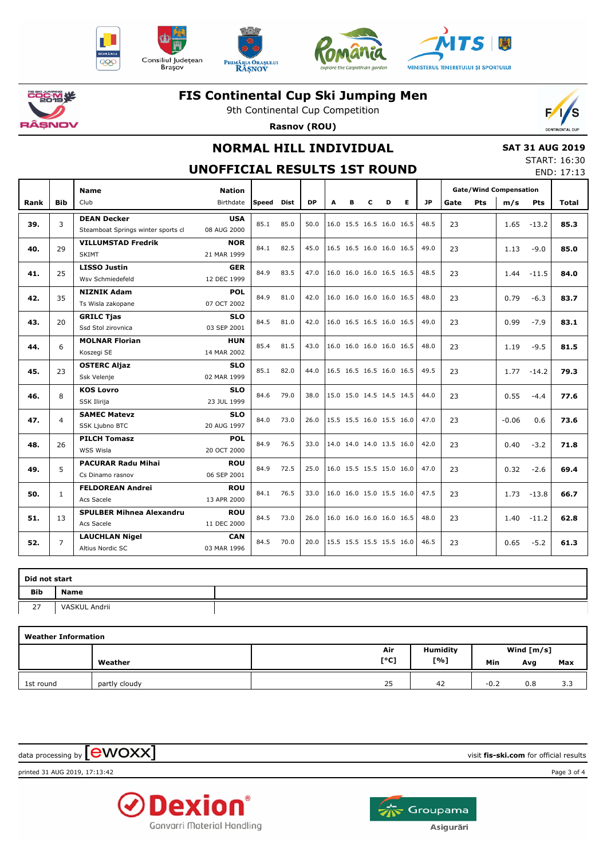











#### **FIS Continental Cup Ski Jumping Men**

9th Continental Cup Competition



**Rasnov (ROU)**

## **NORMAL HILL INDIVIDUAL**

#### **SAT 31 AUG 2019**

#### **UNOFFICIAL RESULTS 1ST ROUND**

START: 16:30 END: 17:13

|      |                | <b>Name</b>                        | <b>Nation</b> |       |      |           |   |   |                          |                          |                          |      | <b>Gate/Wind Compensation</b> |            |         |            |       |
|------|----------------|------------------------------------|---------------|-------|------|-----------|---|---|--------------------------|--------------------------|--------------------------|------|-------------------------------|------------|---------|------------|-------|
| Rank | <b>Bib</b>     | Club                               | Birthdate     | Speed | Dist | <b>DP</b> | A | в | c                        | D                        | Е                        | JP   | Gate                          | <b>Pts</b> | m/s     | <b>Pts</b> | Total |
| 39.  | 3              | <b>DEAN Decker</b>                 | <b>USA</b>    | 85.1  | 85.0 | 50.0      |   |   |                          |                          | 16.0 15.5 16.5 16.0 16.5 | 48.5 | 23                            |            | 1.65    | $-13.2$    | 85.3  |
|      |                | Steamboat Springs winter sports cl | 08 AUG 2000   |       |      |           |   |   |                          |                          |                          |      |                               |            |         |            |       |
| 40.  | 29             | <b>VILLUMSTAD Fredrik</b>          | <b>NOR</b>    | 84.1  | 82.5 | 45.0      |   |   |                          | 16.5 16.5 16.0 16.0 16.5 |                          | 49.0 | 23                            |            | 1.13    | $-9.0$     | 85.0  |
|      |                | <b>SKIMT</b>                       | 21 MAR 1999   |       |      |           |   |   |                          |                          |                          |      |                               |            |         |            |       |
| 41.  | 25             | <b>LISSO Justin</b>                | <b>GER</b>    | 84.9  | 83.5 | 47.0      |   |   | 16.0 16.0 16.0 16.5 16.5 |                          |                          | 48.5 | 23                            |            | 1.44    | $-11.5$    | 84.0  |
|      |                | Wsv Schmiedefeld                   | 12 DEC 1999   |       |      |           |   |   |                          |                          |                          |      |                               |            |         |            |       |
| 42.  | 35             | <b>NIZNIK Adam</b>                 | <b>POL</b>    | 84.9  | 81.0 | 42.0      |   |   |                          | 16.0 16.0 16.0 16.0 16.5 |                          | 48.0 | 23                            |            | 0.79    | $-6.3$     | 83.7  |
|      |                | Ts Wisla zakopane                  | 07 OCT 2002   |       |      |           |   |   |                          |                          |                          |      |                               |            |         |            |       |
| 43.  | 20             | <b>GRILC Tjas</b>                  | <b>SLO</b>    | 84.5  | 81.0 | 42.0      |   |   |                          | 16.0 16.5 16.5 16.0 16.5 |                          | 49.0 | 23                            |            | 0.99    | $-7.9$     | 83.1  |
|      |                | Ssd Stol zirovnica                 | 03 SEP 2001   |       |      |           |   |   |                          |                          |                          |      |                               |            |         |            |       |
| 44.  | 6              | <b>MOLNAR Florian</b>              | <b>HUN</b>    | 85.4  | 81.5 | 43.0      |   |   |                          | 16.0 16.0 16.0 16.0 16.5 |                          | 48.0 | 23                            |            | 1.19    | $-9.5$     | 81.5  |
|      |                | Koszegi SE                         | 14 MAR 2002   |       |      |           |   |   |                          |                          |                          |      |                               |            |         |            |       |
| 45.  | 23             | <b>OSTERC Aljaz</b>                | <b>SLO</b>    | 85.1  | 82.0 | 44.0      |   |   |                          |                          | 16.5 16.5 16.5 16.0 16.5 | 49.5 | 23                            |            | 1.77    | $-14.2$    | 79.3  |
|      |                | Ssk Velenje                        | 02 MAR 1999   |       |      |           |   |   |                          |                          |                          |      |                               |            |         |            |       |
| 46.  | 8              | <b>KOS Lovro</b>                   | <b>SLO</b>    | 84.6  | 79.0 | 38.0      |   |   |                          | 15.0 15.0 14.5 14.5 14.5 |                          | 44.0 | 23                            |            | 0.55    | $-4.4$     | 77.6  |
|      |                | SSK Ilirija                        | 23 JUL 1999   |       |      |           |   |   |                          |                          |                          |      |                               |            |         |            |       |
| 47.  | $\overline{4}$ | <b>SAMEC Matevz</b>                | <b>SLO</b>    | 84.0  | 73.0 | 26.0      |   |   |                          | 15.5 15.5 16.0 15.5 16.0 |                          | 47.0 | 23                            |            | $-0.06$ | 0.6        | 73.6  |
|      |                | SSK Ljubno BTC                     | 20 AUG 1997   |       |      |           |   |   |                          |                          |                          |      |                               |            |         |            |       |
| 48.  | 26             | <b>PILCH Tomasz</b>                | <b>POL</b>    | 84.9  | 76.5 | 33.0      |   |   |                          | 14.0 14.0 14.0 13.5 16.0 |                          | 42.0 | 23                            |            | 0.40    | $-3.2$     | 71.8  |
|      |                | <b>WSS Wisla</b>                   | 20 OCT 2000   |       |      |           |   |   |                          |                          |                          |      |                               |            |         |            |       |
| 49.  | 5              | <b>PACURAR Radu Mihai</b>          | <b>ROU</b>    | 84.9  | 72.5 | 25.0      |   |   |                          | 16.0 15.5 15.5 15.0 16.0 |                          | 47.0 | 23                            |            | 0.32    | $-2.6$     | 69.4  |
|      |                | Cs Dinamo rasnov                   | 06 SEP 2001   |       |      |           |   |   |                          |                          |                          |      |                               |            |         |            |       |
| 50.  | $\mathbf{1}$   | <b>FELDOREAN Andrei</b>            | ROU           | 84.1  | 76.5 | 33.0      |   |   |                          | 16.0 16.0 15.0 15.5 16.0 |                          | 47.5 | 23                            |            | 1.73    | $-13.8$    | 66.7  |
|      |                | Acs Sacele                         | 13 APR 2000   |       |      |           |   |   |                          |                          |                          |      |                               |            |         |            |       |
| 51.  | 13             | <b>SPULBER Mihnea Alexandru</b>    | <b>ROU</b>    | 84.5  | 73.0 | 26.0      |   |   |                          | 16.0 16.0 16.0 16.0 16.5 |                          | 48.0 | 23                            |            | 1.40    | $-11.2$    | 62.8  |
|      |                | Acs Sacele                         | 11 DEC 2000   |       |      |           |   |   |                          |                          |                          |      |                               |            |         |            |       |
| 52.  | $\overline{7}$ | <b>LAUCHLAN Nigel</b>              | <b>CAN</b>    | 84.5  | 70.0 | 20.0      |   |   |                          | 15.5 15.5 15.5 15.5 16.0 |                          | 46.5 | 23                            |            | 0.65    | $-5.2$     | 61.3  |
|      |                | Altius Nordic SC                   | 03 MAR 1996   |       |      |           |   |   |                          |                          |                          |      |                               |            |         |            |       |

| Did not start |               |  |
|---------------|---------------|--|
| <b>Bib</b>    | <b>Name</b>   |  |
| 27            | VASKUL Andrii |  |

| <b>Weather Information</b> |               |      |                 |              |     |     |  |  |  |  |  |  |
|----------------------------|---------------|------|-----------------|--------------|-----|-----|--|--|--|--|--|--|
|                            |               | Air  | <b>Humidity</b> | Wind $[m/s]$ |     |     |  |  |  |  |  |  |
|                            | Weather       | [°C] | [%]             | Min          | Avg | Max |  |  |  |  |  |  |
| 1st round                  | partly cloudy | 25   | 42              | $-0.2$       | 0.8 | 3.3 |  |  |  |  |  |  |

 $\alpha$  data processing by  $\boxed{\text{ewOX}}$ 

printed 31 AUG 2019, 17:13:42 Page 3 of 4